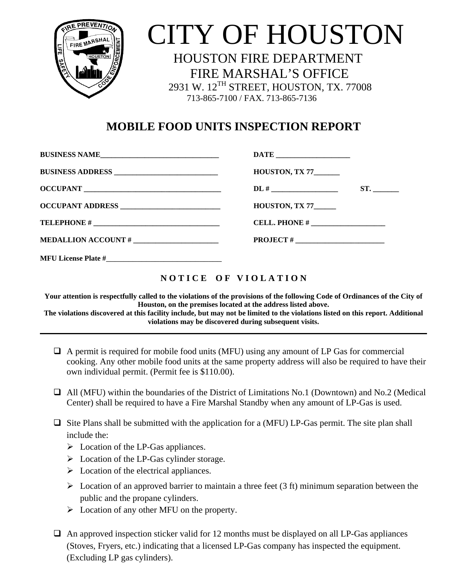

## CITY OF HOUSTON

 HOUSTON FIRE DEPARTMENT FIRE MARSHAL'S OFFICE 2931 W. 12TH STREET, HOUSTON, TX. 77008 713-865-7100 / FAX. 713-865-7136

## **MOBILE FOOD UNITS INSPECTION REPORT**

| BUSINESS NAME              |                              |
|----------------------------|------------------------------|
|                            | <b>HOUSTON, TX 77_______</b> |
| <b>OCCUPANT</b>            | ST.                          |
|                            | HOUSTON, TX $77$             |
|                            |                              |
|                            |                              |
| <b>MFU License Plate #</b> |                              |

## **N O T I C E O F V I O L A T I O N**

**Your attention is respectfully called to the violations of the provisions of the following Code of Ordinances of the City of Houston, on the premises located at the address listed above.**

**The violations discovered at this facility include, but may not be limited to the violations listed on this report. Additional violations may be discovered during subsequent visits.**

- $\Box$  A permit is required for mobile food units (MFU) using any amount of LP Gas for commercial cooking. Any other mobile food units at the same property address will also be required to have their own individual permit. (Permit fee is \$110.00).
- All (MFU) within the boundaries of the District of Limitations No.1 (Downtown) and No.2 (Medical Center) shall be required to have a Fire Marshal Standby when any amount of LP-Gas is used.
- $\Box$  Site Plans shall be submitted with the application for a (MFU) LP-Gas permit. The site plan shall include the:
	- $\triangleright$  Location of the LP-Gas appliances.
	- $\triangleright$  Location of the LP-Gas cylinder storage.
	- $\triangleright$  Location of the electrical appliances.
	- $\triangleright$  Location of an approved barrier to maintain a three feet (3 ft) minimum separation between the public and the propane cylinders.
	- $\triangleright$  Location of any other MFU on the property.
- $\Box$  An approved inspection sticker valid for 12 months must be displayed on all LP-Gas appliances (Stoves, Fryers, etc.) indicating that a licensed LP-Gas company has inspected the equipment. (Excluding LP gas cylinders).